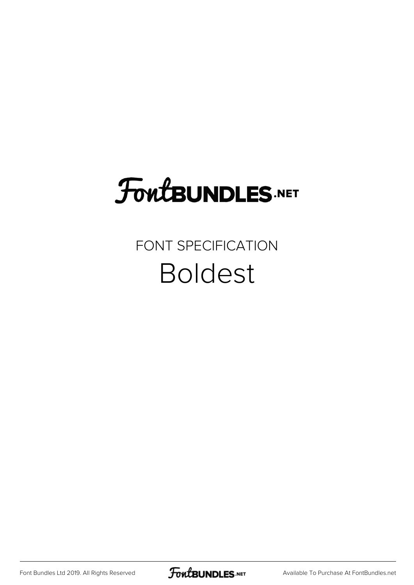# **FoutBUNDLES.NET**

### FONT SPECIFICATION Boldest

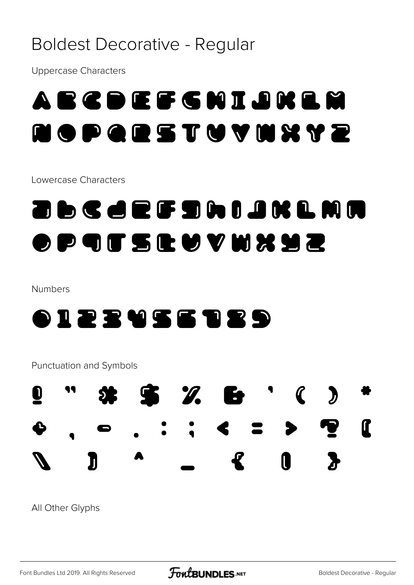#### **Boldest Decorative - Regular**

**Uppercase Characters** 

### ABCDEFGNIJKLM MOPARSTUVMXY2

Lowercase Characters

### **abcdeFShiJKLMM DPTTSRVVWXYZ**

Numbers



Punctuation and Symbols



All Other Glyphs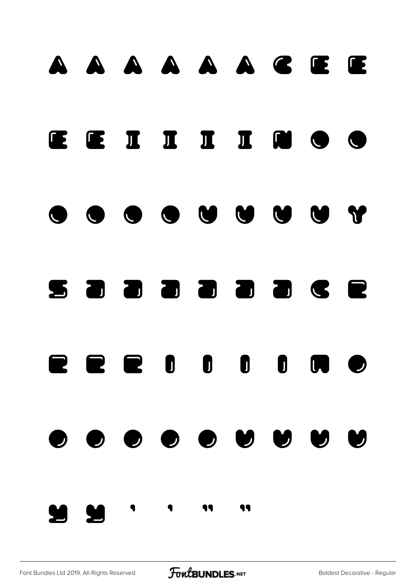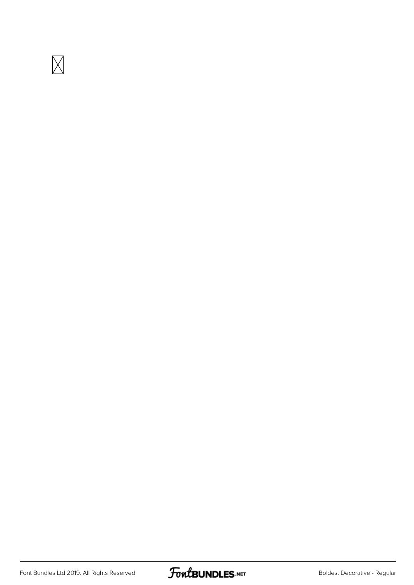

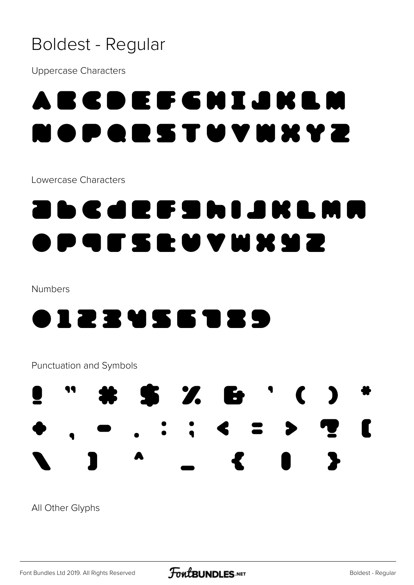#### **Boldest - Regular**

**Uppercase Characters** 

## R & D E F & M I J K & M PORSTWYWXYZ

Lowercase Characters

#### **SCARFSMIJKL**I  $\overline{\phantom{a}}$ **ALZEAAMXAS**

**Numbers** 



Punctuation and Symbols



All Other Glyphs

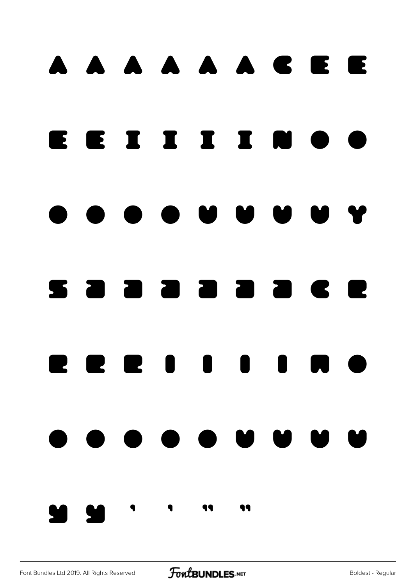